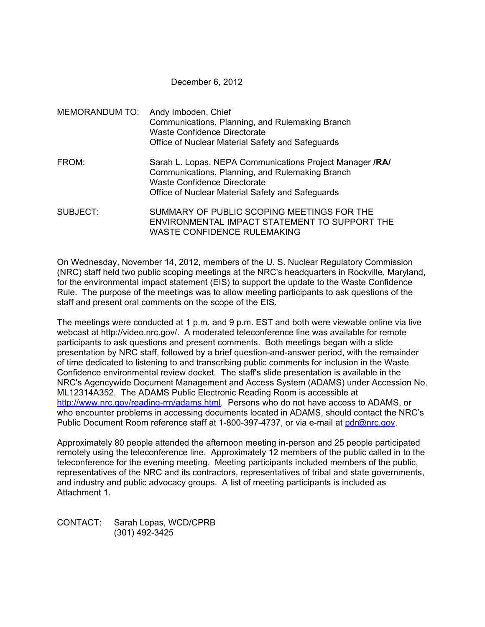### December 6, 2012

|          | MEMORANDUM TO: Andy Imboden, Chief<br>Communications, Planning, and Rulemaking Branch<br><b>Waste Confidence Directorate</b><br>Office of Nuclear Material Safety and Safeguards                |
|----------|-------------------------------------------------------------------------------------------------------------------------------------------------------------------------------------------------|
| FROM:    | Sarah L. Lopas, NEPA Communications Project Manager /RA/<br>Communications, Planning, and Rulemaking Branch<br>Waste Confidence Directorate<br>Office of Nuclear Material Safety and Safeguards |
| SUBJECT: | SUMMARY OF PUBLIC SCOPING MEETINGS FOR THE<br>ENVIRONMENTAL IMPACT STATEMENT TO SUPPORT THE                                                                                                     |

WASTE CONFIDENCE RULEMAKING

On Wednesday, November 14, 2012, members of the U. S. Nuclear Regulatory Commission (NRC) staff held two public scoping meetings at the NRC's headquarters in Rockville, Maryland, for the environmental impact statement (EIS) to support the update to the Waste Confidence Rule. The purpose of the meetings was to allow meeting participants to ask questions of the staff and present oral comments on the scope of the EIS.

The meetings were conducted at 1 p.m. and 9 p.m. EST and both were viewable online via live webcast at http://video.nrc.gov/. A moderated teleconference line was available for remote participants to ask questions and present comments. Both meetings began with a slide presentation by NRC staff, followed by a brief question-and-answer period, with the remainder of time dedicated to listening to and transcribing public comments for inclusion in the Waste Confidence environmental review docket. The staff's slide presentation is available in the NRC's Agencywide Document Management and Access System (ADAMS) under Accession No. ML12314A352. The ADAMS Public Electronic Reading Room is accessible at http://www.nrc.gov/reading-rm/adams.html. Persons who do not have access to ADAMS, or who encounter problems in accessing documents located in ADAMS, should contact the NRC's Public Document Room reference staff at 1-800-397-4737, or via e-mail at pdr@nrc.gov.

Approximately 80 people attended the afternoon meeting in-person and 25 people participated remotely using the teleconference line. Approximately 12 members of the public called in to the teleconference for the evening meeting. Meeting participants included members of the public, representatives of the NRC and its contractors, representatives of tribal and state governments, and industry and public advocacy groups. A list of meeting participants is included as Attachment 1.

CONTACT: Sarah Lopas, WCD/CPRB (301) 492-3425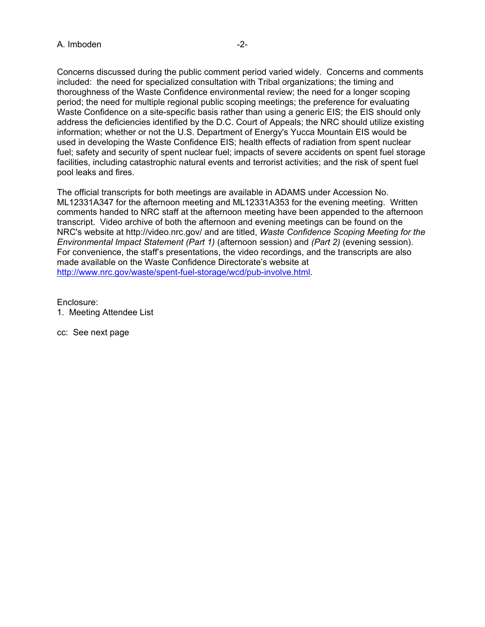Concerns discussed during the public comment period varied widely. Concerns and comments included: the need for specialized consultation with Tribal organizations; the timing and thoroughness of the Waste Confidence environmental review; the need for a longer scoping period; the need for multiple regional public scoping meetings; the preference for evaluating Waste Confidence on a site-specific basis rather than using a generic EIS; the EIS should only address the deficiencies identified by the D.C. Court of Appeals; the NRC should utilize existing information; whether or not the U.S. Department of Energy's Yucca Mountain EIS would be used in developing the Waste Confidence EIS; health effects of radiation from spent nuclear fuel; safety and security of spent nuclear fuel; impacts of severe accidents on spent fuel storage facilities, including catastrophic natural events and terrorist activities; and the risk of spent fuel pool leaks and fires.

The official transcripts for both meetings are available in ADAMS under Accession No. ML12331A347 for the afternoon meeting and ML12331A353 for the evening meeting. Written comments handed to NRC staff at the afternoon meeting have been appended to the afternoon transcript. Video archive of both the afternoon and evening meetings can be found on the NRC's website at http://video.nrc.gov/ and are titled, *Waste Confidence Scoping Meeting for the Environmental Impact Statement (Part 1)* (afternoon session) and *(Part 2)* (evening session). For convenience, the staff's presentations, the video recordings, and the transcripts are also made available on the Waste Confidence Directorate's website at http://www.nrc.gov/waste/spent-fuel-storage/wcd/pub-involve.html.

Enclosure:

1. Meeting Attendee List

cc: See next page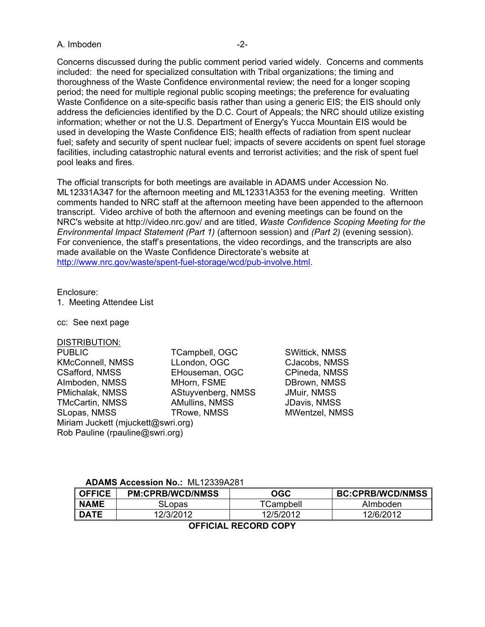#### A. Imboden  $-2$ -

Concerns discussed during the public comment period varied widely. Concerns and comments included: the need for specialized consultation with Tribal organizations; the timing and thoroughness of the Waste Confidence environmental review; the need for a longer scoping period; the need for multiple regional public scoping meetings; the preference for evaluating Waste Confidence on a site-specific basis rather than using a generic EIS; the EIS should only address the deficiencies identified by the D.C. Court of Appeals; the NRC should utilize existing information; whether or not the U.S. Department of Energy's Yucca Mountain EIS would be used in developing the Waste Confidence EIS; health effects of radiation from spent nuclear fuel; safety and security of spent nuclear fuel; impacts of severe accidents on spent fuel storage facilities, including catastrophic natural events and terrorist activities; and the risk of spent fuel pool leaks and fires.

The official transcripts for both meetings are available in ADAMS under Accession No. ML12331A347 for the afternoon meeting and ML12331A353 for the evening meeting. Written comments handed to NRC staff at the afternoon meeting have been appended to the afternoon transcript. Video archive of both the afternoon and evening meetings can be found on the NRC's website at http://video.nrc.gov/ and are titled, *Waste Confidence Scoping Meeting for the Environmental Impact Statement (Part 1)* (afternoon session) and *(Part 2)* (evening session). For convenience, the staff's presentations, the video recordings, and the transcripts are also made available on the Waste Confidence Directorate's website at http://www.nrc.gov/waste/spent-fuel-storage/wcd/pub-involve.html.

#### Enclosure:

1. Meeting Attendee List

cc: See next page

#### DISTRIBUTION:

PUBLIC TCampbell, OGC SWittick, NMSS KMcConnell, NMSS LLondon, OGC CJacobs, NMSS CSafford, NMSS EHouseman, OGC CPineda, NMSS AImboden, NMSS MHorn, FSME DBrown, NMSS PMichalak, NMSS AStuyvenberg, NMSS JMuir, NMSS TMcCartin, NMSS AMullins, NMSS JDavis, NMSS SLopas, NMSS TRowe, NMSS MWentzel, NMSS Miriam Juckett (mjuckett@swri.org) Rob Pauline (rpauline@swri.org)

#### **ADAMS Accession No.:** ML12339A281

| <b>PM:CPRB/WCD/NMSS</b> | OGC       | <b>BC:CPRB/WCD/NMSS</b> |
|-------------------------|-----------|-------------------------|
| SLopas                  | TCampbell | Almboden                |
| 12/3/2012               | 12/5/2012 | 12/6/2012               |
|                         |           |                         |

#### **OFFICIAL RECORD COPY**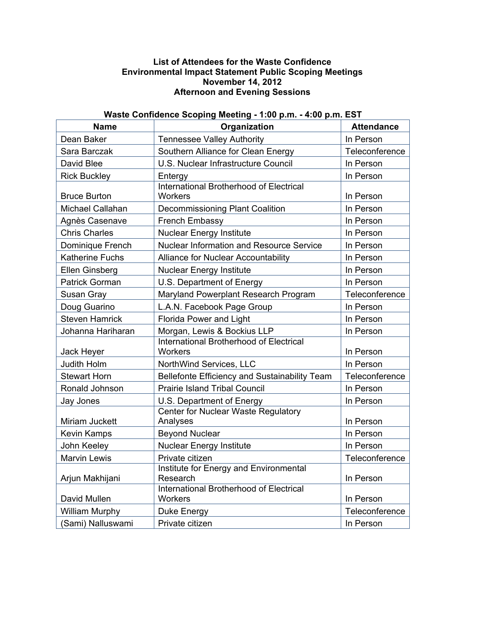## **List of Attendees for the Waste Confidence Environmental Impact Statement Public Scoping Meetings November 14, 2012 Afternoon and Evening Sessions**

# **Waste Confidence Scoping Meeting - 1:00 p.m. - 4:00 p.m. EST**

| Name                   | Organization                                                     | <b>Attendance</b> |
|------------------------|------------------------------------------------------------------|-------------------|
| Dean Baker             | <b>Tennessee Valley Authority</b>                                | In Person         |
| Sara Barczak           | Southern Alliance for Clean Energy                               | Teleconference    |
| David Blee             | U.S. Nuclear Infrastructure Council                              | In Person         |
| <b>Rick Buckley</b>    | Entergy                                                          | In Person         |
| <b>Bruce Burton</b>    | <b>International Brotherhood of Electrical</b><br><b>Workers</b> | In Person         |
| Michael Callahan       | <b>Decommissioning Plant Coalition</b>                           | In Person         |
| Agnès Casenave         | French Embassy                                                   | In Person         |
| <b>Chris Charles</b>   | <b>Nuclear Energy Institute</b>                                  | In Person         |
| Dominique French       | Nuclear Information and Resource Service                         | In Person         |
| <b>Katherine Fuchs</b> | <b>Alliance for Nuclear Accountability</b>                       | In Person         |
| Ellen Ginsberg         | <b>Nuclear Energy Institute</b>                                  | In Person         |
| Patrick Gorman         | U.S. Department of Energy                                        | In Person         |
| Susan Gray             | Maryland Powerplant Research Program                             | Teleconference    |
| Doug Guarino           | L.A.N. Facebook Page Group                                       | In Person         |
| <b>Steven Hamrick</b>  | Florida Power and Light                                          | In Person         |
| Johanna Hariharan      | Morgan, Lewis & Bockius LLP                                      | In Person         |
| Jack Heyer             | International Brotherhood of Electrical<br>Workers               | In Person         |
| <b>Judith Holm</b>     | NorthWind Services, LLC                                          | In Person         |
| <b>Stewart Horn</b>    | Bellefonte Efficiency and Sustainability Team                    | Teleconference    |
| Ronald Johnson         | <b>Prairie Island Tribal Council</b>                             | In Person         |
| Jay Jones              | U.S. Department of Energy                                        | In Person         |
| Miriam Juckett         | Center for Nuclear Waste Regulatory<br>Analyses                  | In Person         |
| Kevin Kamps            | <b>Beyond Nuclear</b>                                            | In Person         |
| John Keeley            | <b>Nuclear Energy Institute</b>                                  | In Person         |
| <b>Marvin Lewis</b>    | Private citizen                                                  | Teleconference    |
| Arjun Makhijani        | Institute for Energy and Environmental<br>Research               | In Person         |
| David Mullen           | <b>International Brotherhood of Electrical</b><br><b>Workers</b> | In Person         |
| William Murphy         | Duke Energy                                                      | Teleconference    |
| (Sami) Nalluswami      | Private citizen                                                  | In Person         |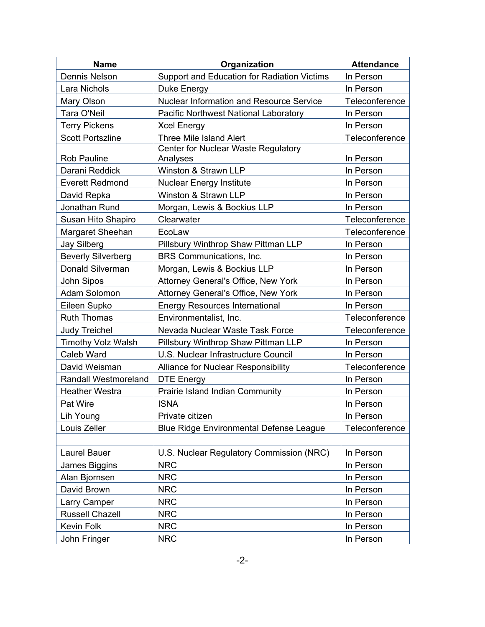| <b>Name</b>                 | Organization                                    | <b>Attendance</b> |
|-----------------------------|-------------------------------------------------|-------------------|
| <b>Dennis Nelson</b>        | Support and Education for Radiation Victims     | In Person         |
| Lara Nichols                | Duke Energy                                     | In Person         |
| Mary Olson                  | <b>Nuclear Information and Resource Service</b> | Teleconference    |
| Tara O'Neil                 | Pacific Northwest National Laboratory           | In Person         |
| <b>Terry Pickens</b>        | <b>Xcel Energy</b>                              | In Person         |
| <b>Scott Portszline</b>     | Three Mile Island Alert                         | Teleconference    |
|                             | Center for Nuclear Waste Regulatory             |                   |
| Rob Pauline                 | Analyses                                        | In Person         |
| Darani Reddick              | Winston & Strawn LLP                            | In Person         |
| <b>Everett Redmond</b>      | <b>Nuclear Energy Institute</b>                 | In Person         |
| David Repka                 | Winston & Strawn LLP                            | In Person         |
| Jonathan Rund               | Morgan, Lewis & Bockius LLP                     | In Person         |
| Susan Hito Shapiro          | Clearwater                                      | Teleconference    |
| Margaret Sheehan            | EcoLaw                                          | Teleconference    |
| <b>Jay Silberg</b>          | Pillsbury Winthrop Shaw Pittman LLP             | In Person         |
| <b>Beverly Silverberg</b>   | BRS Communications, Inc.                        | In Person         |
| Donald Silverman            | Morgan, Lewis & Bockius LLP                     | In Person         |
| John Sipos                  | Attorney General's Office, New York             | In Person         |
| Adam Solomon                | Attorney General's Office, New York             | In Person         |
| Eileen Supko                | <b>Energy Resources International</b>           | In Person         |
| <b>Ruth Thomas</b>          | Environmentalist, Inc.                          | Teleconference    |
| <b>Judy Treichel</b>        | Nevada Nuclear Waste Task Force                 | Teleconference    |
| <b>Timothy Volz Walsh</b>   | Pillsbury Winthrop Shaw Pittman LLP             | In Person         |
| Caleb Ward                  | U.S. Nuclear Infrastructure Council             | In Person         |
| David Weisman               | Alliance for Nuclear Responsibility             | Teleconference    |
| <b>Randall Westmoreland</b> | <b>DTE Energy</b>                               | In Person         |
| <b>Heather Westra</b>       | Prairie Island Indian Community                 | In Person         |
| Pat Wire                    | <b>ISNA</b>                                     | In Person         |
| Lih Young                   | Private citizen                                 | In Person         |
| Louis Zeller                | <b>Blue Ridge Environmental Defense League</b>  | Teleconference    |
|                             |                                                 |                   |
| Laurel Bauer                | U.S. Nuclear Regulatory Commission (NRC)        | In Person         |
| James Biggins               | <b>NRC</b>                                      | In Person         |
| Alan Bjornsen               | <b>NRC</b>                                      | In Person         |
| David Brown                 | <b>NRC</b>                                      | In Person         |
| Larry Camper                | <b>NRC</b>                                      | In Person         |
| Russell Chazell             | <b>NRC</b>                                      | In Person         |
| Kevin Folk                  | <b>NRC</b>                                      | In Person         |
| John Fringer                | <b>NRC</b>                                      | In Person         |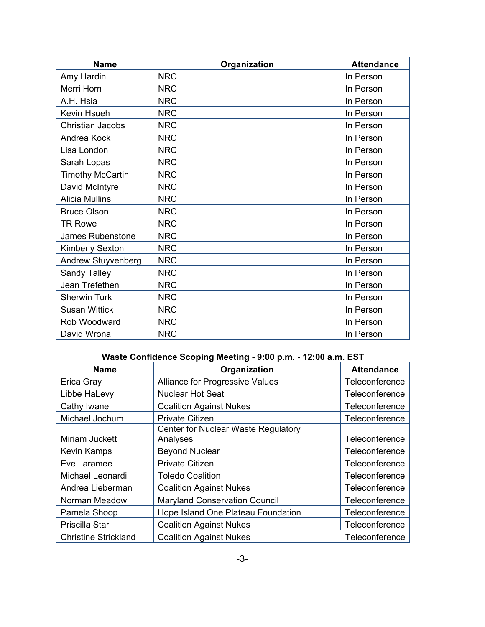| <b>Name</b>             | Organization | <b>Attendance</b> |
|-------------------------|--------------|-------------------|
| Amy Hardin              | <b>NRC</b>   | In Person         |
| Merri Horn              | <b>NRC</b>   | In Person         |
| A.H. Hsia               | <b>NRC</b>   | In Person         |
| Kevin Hsueh             | <b>NRC</b>   | In Person         |
| Christian Jacobs        | <b>NRC</b>   | In Person         |
| Andrea Kock             | <b>NRC</b>   | In Person         |
| Lisa London             | <b>NRC</b>   | In Person         |
| Sarah Lopas             | <b>NRC</b>   | In Person         |
| <b>Timothy McCartin</b> | <b>NRC</b>   | In Person         |
| David McIntyre          | <b>NRC</b>   | In Person         |
| <b>Alicia Mullins</b>   | <b>NRC</b>   | In Person         |
| <b>Bruce Olson</b>      | <b>NRC</b>   | In Person         |
| <b>TR Rowe</b>          | <b>NRC</b>   | In Person         |
| James Rubenstone        | <b>NRC</b>   | In Person         |
| <b>Kimberly Sexton</b>  | <b>NRC</b>   | In Person         |
| Andrew Stuyvenberg      | <b>NRC</b>   | In Person         |
| Sandy Talley            | <b>NRC</b>   | In Person         |
| Jean Trefethen          | <b>NRC</b>   | In Person         |
| <b>Sherwin Turk</b>     | <b>NRC</b>   | In Person         |
| <b>Susan Wittick</b>    | <b>NRC</b>   | In Person         |
| Rob Woodward            | <b>NRC</b>   | In Person         |
| David Wrona             | <b>NRC</b>   | In Person         |

# **Waste Confidence Scoping Meeting - 9:00 p.m. - 12:00 a.m. EST**

| <b>Name</b>                 | Organization                         | <b>Attendance</b> |
|-----------------------------|--------------------------------------|-------------------|
| Erica Gray                  | Alliance for Progressive Values      | Teleconference    |
| Libbe HaLevy                | <b>Nuclear Hot Seat</b>              | Teleconference    |
| Cathy Iwane                 | <b>Coalition Against Nukes</b>       | Teleconference    |
| Michael Jochum              | <b>Private Citizen</b>               | Teleconference    |
|                             | Center for Nuclear Waste Regulatory  |                   |
| Miriam Juckett              | Analyses                             | Teleconference    |
| <b>Kevin Kamps</b>          | <b>Beyond Nuclear</b>                | Teleconference    |
| Eve Laramee                 | <b>Private Citizen</b>               | Teleconference    |
| Michael Leonardi            | <b>Toledo Coalition</b>              | Teleconference    |
| Andrea Lieberman            | <b>Coalition Against Nukes</b>       | Teleconference    |
| Norman Meadow               | <b>Maryland Conservation Council</b> | Teleconference    |
| Pamela Shoop                | Hope Island One Plateau Foundation   | Teleconference    |
| Priscilla Star              | <b>Coalition Against Nukes</b>       | Teleconference    |
| <b>Christine Strickland</b> | <b>Coalition Against Nukes</b>       | Teleconference    |